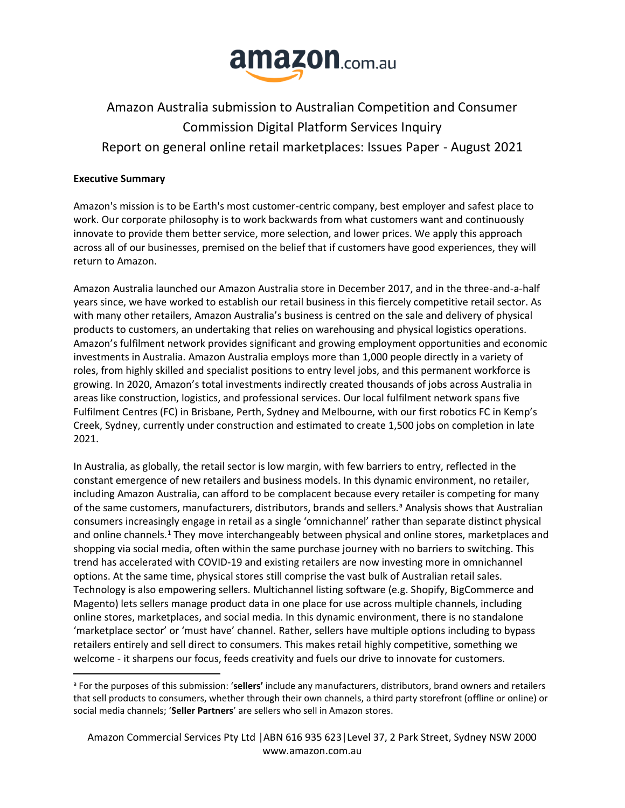

# Amazon Australia submission to Australian Competition and Consumer Commission Digital Platform Services Inquiry Report on general online retail marketplaces: Issues Paper - August 2021

# **Executive Summary**

Amazon's mission is to be Earth's most customer-centric company, best employer and safest place to work. Our corporate philosophy is to work backwards from what customers want and continuously innovate to provide them better service, more selection, and lower prices. We apply this approach across all of our businesses, premised on the belief that if customers have good experiences, they will return to Amazon.

Amazon Australia launched our Amazon Australia store in December 2017, and in the three-and-a-half years since, we have worked to establish our retail business in this fiercely competitive retail sector. As with many other retailers, Amazon Australia's business is centred on the sale and delivery of physical products to customers, an undertaking that relies on warehousing and physical logistics operations. Amazon's fulfilment network provides significant and growing employment opportunities and economic investments in Australia. Amazon Australia employs more than 1,000 people directly in a variety of roles, from highly skilled and specialist positions to entry level jobs, and this permanent workforce is growing. In 2020, Amazon's total investments indirectly created thousands of jobs across Australia in areas like construction, logistics, and professional services. Our local fulfilment network spans five Fulfilment Centres (FC) in Brisbane, Perth, Sydney and Melbourne, with our first robotics FC in Kemp's Creek, Sydney, currently under construction and estimated to create 1,500 jobs on completion in late 2021.

In Australia, as globally, the retail sector is low margin, with few barriers to entry, reflected in the constant emergence of new retailers and business models. In this dynamic environment, no retailer, including Amazon Australia, can afford to be complacent because every retailer is competing for many of the same customers, manufacturers, distributors, brands and sellers.<sup>a</sup> Analysis shows that Australian consumers increasingly engage in retail as a single 'omnichannel' rather than separate distinct physical and online channels.<sup>1</sup> They move interchangeably between physical and online stores, marketplaces and shopping via social media, often within the same purchase journey with no barriers to switching. This trend has accelerated with COVID-19 and existing retailers are now investing more in omnichannel options. At the same time, physical stores still comprise the vast bulk of Australian retail sales. Technology is also empowering sellers. Multichannel listing software (e.g. Shopify, BigCommerce and Magento) lets sellers manage product data in one place for use across multiple channels, including online stores, marketplaces, and social media. In this dynamic environment, there is no standalone 'marketplace sector' or 'must have' channel. Rather, sellers have multiple options including to bypass retailers entirely and sell direct to consumers. This makes retail highly competitive, something we welcome - it sharpens our focus, feeds creativity and fuels our drive to innovate for customers.

<sup>a</sup> For the purposes of this submission: '**sellers'** include any manufacturers, distributors, brand owners and retailers that sell products to consumers, whether through their own channels, a third party storefront (offline or online) or social media channels; '**Seller Partners**' are sellers who sell in Amazon stores.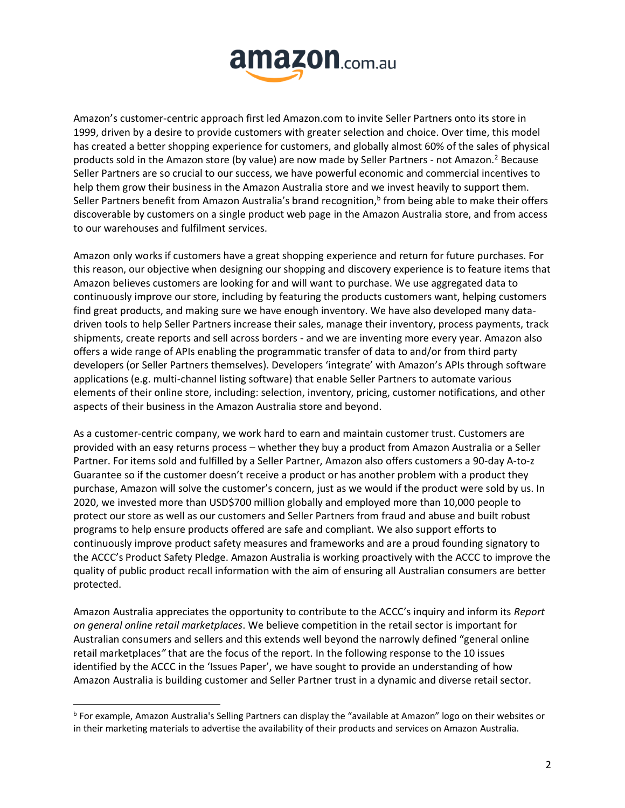

Amazon's customer-centric approach first led Amazon.com to invite Seller Partners onto its store in 1999, driven by a desire to provide customers with greater selection and choice. Over time, this model has created a better shopping experience for customers, and globally almost 60% of the sales of physical products sold in the Amazon store (by value) are now made by Seller Partners - not Amazon.<sup>2</sup> Because Seller Partners are so crucial to our success, we have powerful economic and commercial incentives to help them grow their business in the Amazon Australia store and we invest heavily to support them. Seller Partners benefit from Amazon Australia's brand recognition,<sup>b</sup> from being able to make their offers discoverable by customers on a single product web page in the Amazon Australia store, and from access to our warehouses and fulfilment services.

Amazon only works if customers have a great shopping experience and return for future purchases. For this reason, our objective when designing our shopping and discovery experience is to feature items that Amazon believes customers are looking for and will want to purchase. We use aggregated data to continuously improve our store, including by featuring the products customers want, helping customers find great products, and making sure we have enough inventory. We have also developed many datadriven tools to help Seller Partners increase their sales, manage their inventory, process payments, track shipments, create reports and sell across borders - and we are inventing more every year. Amazon also offers a wide range of APIs enabling the programmatic transfer of data to and/or from third party developers (or Seller Partners themselves). Developers 'integrate' with Amazon's APIs through software applications (e.g. multi-channel listing software) that enable Seller Partners to automate various elements of their online store, including: selection, inventory, pricing, customer notifications, and other aspects of their business in the Amazon Australia store and beyond.

As a customer-centric company, we work hard to earn and maintain customer trust. Customers are provided with an easy returns process – whether they buy a product from Amazon Australia or a Seller Partner. For items sold and fulfilled by a Seller Partner, Amazon also offers customers a 90-day A-to-z Guarantee so if the customer doesn't receive a product or has another problem with a product they purchase, Amazon will solve the customer's concern, just as we would if the product were sold by us. In 2020, we invested more than USD\$700 million globally and employed more than 10,000 people to protect our store as well as our customers and Seller Partners from fraud and abuse and built robust programs to help ensure products offered are safe and compliant. We also support efforts to continuously improve product safety measures and frameworks and are a proud founding signatory to the ACCC's Product Safety Pledge. Amazon Australia is working proactively with the ACCC to improve the quality of public product recall information with the aim of ensuring all Australian consumers are better protected.

Amazon Australia appreciates the opportunity to contribute to the ACCC's inquiry and inform its *Report on general online retail marketplaces*. We believe competition in the retail sector is important for Australian consumers and sellers and this extends well beyond the narrowly defined "general online retail marketplaces*"* that are the focus of the report. In the following response to the 10 issues identified by the ACCC in the 'Issues Paper', we have sought to provide an understanding of how Amazon Australia is building customer and Seller Partner trust in a dynamic and diverse retail sector.

<sup>b</sup> For example, Amazon Australia's Selling Partners can display the "available at Amazon" logo on their websites or in their marketing materials to advertise the availability of their products and services on Amazon Australia.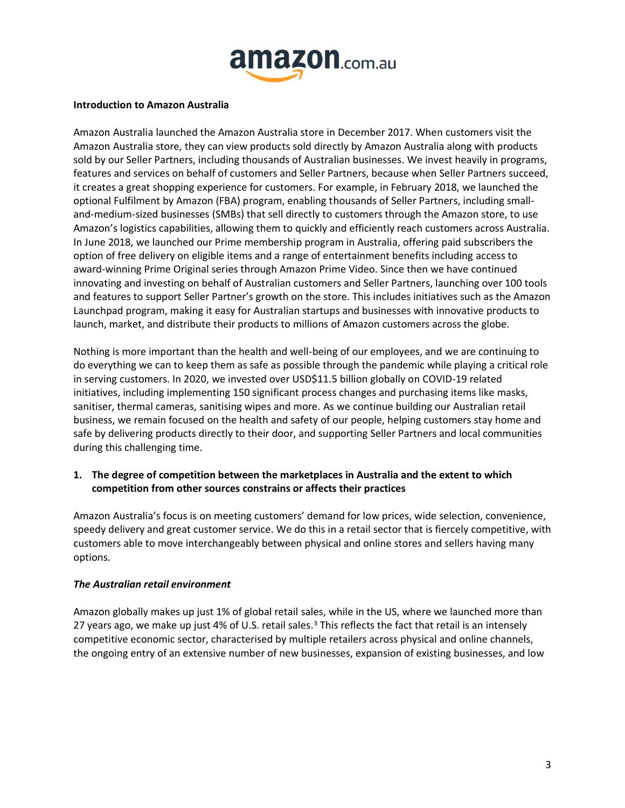

#### **Introduction to Amazon Australia**

Amazon Australia launched the Amazon Australia store in December 2017. When customers visit the Amazon Australia store, they can view products sold directly by Amazon Australia along with products sold by our Seller Partners, including thousands of Australian businesses. We invest heavily in programs, features and services on behalf of customers and Seller Partners, because when Seller Partners succeed, it creates a great shopping experience for customers. For example, in February 2018, we launched the optional Fulfilment by Amazon (FBA) program, enabling thousands of Seller Partners, including smalland-medium-sized businesses (SMBs) that sell directly to customers through the Amazon store, to use Amazon's logistics capabilities, allowing them to quickly and efficiently reach customers across Australia. In June 2018, we launched our Prime membership program in Australia, offering paid subscribers the option of free delivery on eligible items and a range of entertainment benefits including access to award-winning Prime Original series through Amazon Prime Video. Since then we have continued innovating and investing on behalf of Australian customers and Seller Partners, launching over 100 tools and features to support Seller Partner's growth on the store. This includes initiatives such as the Amazon Launchpad program, making it easy for Australian startups and businesses with innovative products to launch, market, and distribute their products to millions of Amazon customers across the globe.

Nothing is more important than the health and well-being of our employees, and we are continuing to do everything we can to keep them as safe as possible through the pandemic while playing a critical role in serving customers. In 2020, we invested over USD\$11.5 billion globally on COVID-19 related initiatives, including implementing 150 significant process changes and purchasing items like masks, sanitiser, thermal cameras, sanitising wipes and more. As we continue building our Australian retail business, we remain focused on the health and safety of our people, helping customers stay home and safe by delivering products directly to their door, and supporting Seller Partners and local communities during this challenging time.

# **1. The degree of competition between the marketplaces in Australia and the extent to which competition from other sources constrains or affects their practices**

Amazon Australia's focus is on meeting customers' demand for low prices, wide selection, convenience, speedy delivery and great customer service. We do this in a retail sector that is fiercely competitive, with customers able to move interchangeably between physical and online stores and sellers having many options.

# *The Australian retail environment*

Amazon globally makes up just 1% of global retail sales, while in the US, where we launched more than 27 years ago, we make up just 4% of U.S. retail sales.<sup>3</sup> This reflects the fact that retail is an intensely competitive economic sector, characterised by multiple retailers across physical and online channels, the ongoing entry of an extensive number of new businesses, expansion of existing businesses, and low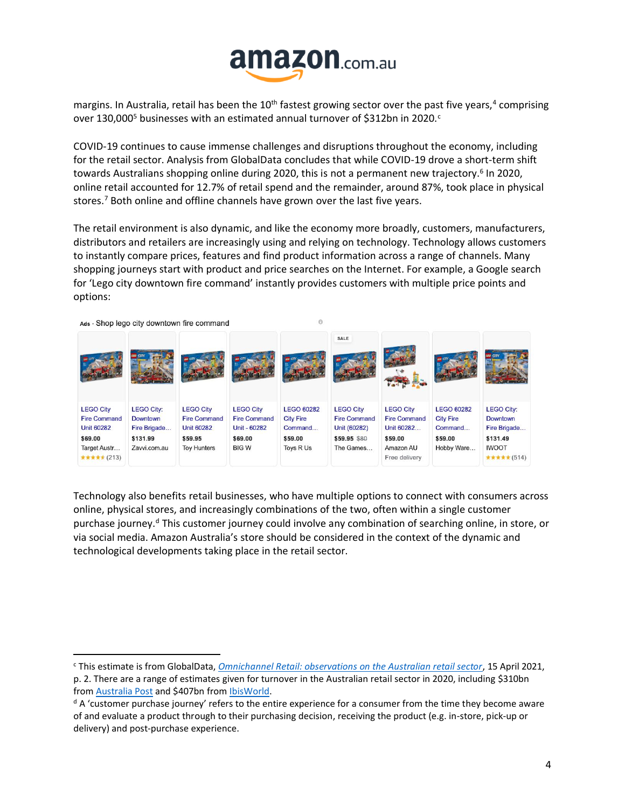

margins. In Australia, retail has been the 10<sup>th</sup> fastest growing sector over the past five years,<sup>4</sup> comprising over 130,000<sup>5</sup> businesses with an estimated annual turnover of \$312bn in 2020.<sup>c</sup>

COVID-19 continues to cause immense challenges and disruptions throughout the economy, including for the retail sector. Analysis from GlobalData concludes that while COVID-19 drove a short-term shift towards Australians shopping online during 2020, this is not a permanent new trajectory.<sup>6</sup> In 2020, online retail accounted for 12.7% of retail spend and the remainder, around 87%, took place in physical stores.<sup>7</sup> Both online and offline channels have grown over the last five years.

The retail environment is also dynamic, and like the economy more broadly, customers, manufacturers, distributors and retailers are increasingly using and relying on technology. Technology allows customers to instantly compare prices, features and find product information across a range of channels. Many shopping journeys start with product and price searches on the Internet. For example, a Google search for 'Lego city downtown fire command' instantly provides customers with multiple price points and options:



Technology also benefits retail businesses, who have multiple options to connect with consumers across online, physical stores, and increasingly combinations of the two, often within a single customer purchase journey.<sup>d</sup> This customer journey could involve any combination of searching online, in store, or via social media. Amazon Australia's store should be considered in the context of the dynamic and technological developments taking place in the retail sector.

<sup>c</sup> This estimate is from GlobalData, *[Omnichannel Retail: observations on the Australian retail sector](http://gdretail.net/wp-content/uploads/2021/08/GlobalData-Australia-retail-Apr2021-1.0.pdf)*, 15 April 2021,

p. 2. There are a range of estimates given for turnover in the Australian retail sector in 2020, including \$310bn from [Australia Post](https://auspost.com.au/content/dam/auspost_corp/media/documents/ecommerce-industry-report-2021.pdf) and \$407bn from [IbisWorld.](https://www.ibisworld.com/au/sector-profiles/retail-trade/)

<sup>&</sup>lt;sup>d</sup> A 'customer purchase journey' refers to the entire experience for a consumer from the time they become aware of and evaluate a product through to their purchasing decision, receiving the product (e.g. in-store, pick-up or delivery) and post-purchase experience.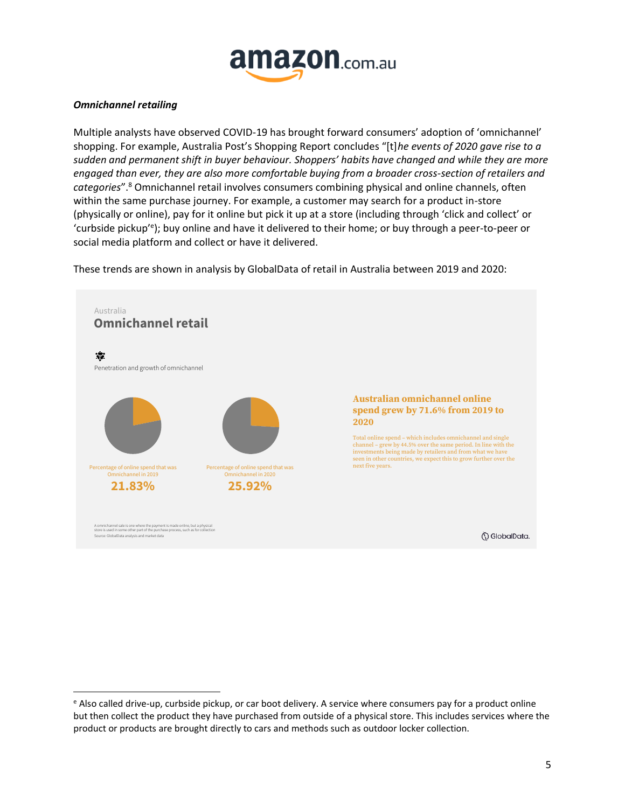

#### *Omnichannel retailing*

Multiple analysts have observed COVID-19 has brought forward consumers' adoption of 'omnichannel' shopping. For example, Australia Post's Shopping Report concludes "[t]*he events of 2020 gave rise to a sudden and permanent shift in buyer behaviour. Shoppers' habits have changed and while they are more engaged than ever, they are also more comfortable buying from a broader cross-section of retailers and categories*".<sup>8</sup> Omnichannel retail involves consumers combining physical and online channels, often within the same purchase journey. For example, a customer may search for a product in-store (physically or online), pay for it online but pick it up at a store (including through 'click and collect' or 'curbside pickup'<sup>e</sup> ); buy online and have it delivered to their home; or buy through a peer-to-peer or social media platform and collect or have it delivered.

These trends are shown in analysis by GlobalData of retail in Australia between 2019 and 2020:



<sup>e</sup> Also called drive-up, curbside pickup, or car boot delivery. A service where consumers pay for a product online but then collect the product they have purchased from outside of a physical store. This includes services where the product or products are brought directly to cars and methods such as outdoor locker collection.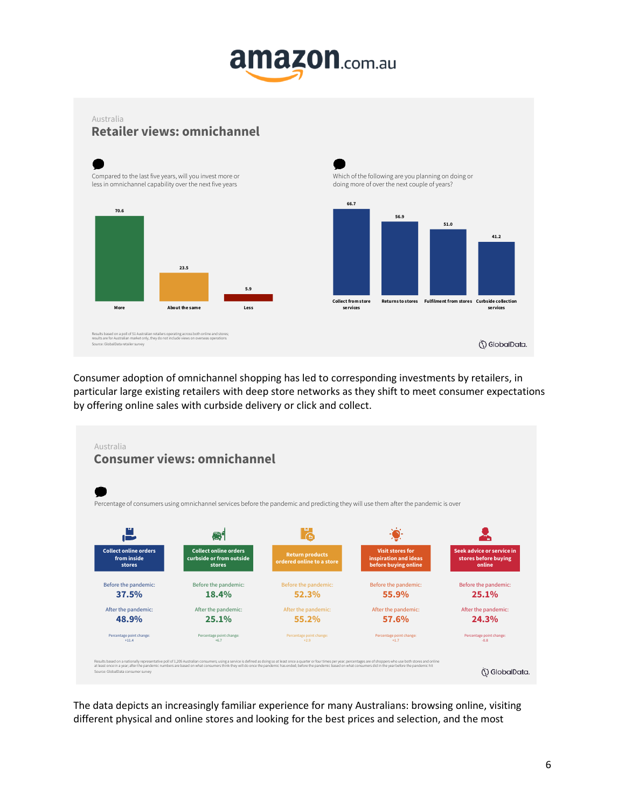# **amazon.com.au**

**56.9**

**51.0**

**41.2**

**services**

() GlobalData.

# **Retailer views: omnichannel** Australia



Consumer adoption of omnichannel shopping has led to corresponding investments by retailers, in particular large existing retailers with deep store networks as they shift to meet consumer expectations by offering online sales with curbside delivery or click and collect.

![](_page_5_Figure_4.jpeg)

The data depicts an increasingly familiar experience for many Australians: browsing online, visiting different physical and online stores and looking for the best prices and selection, and the most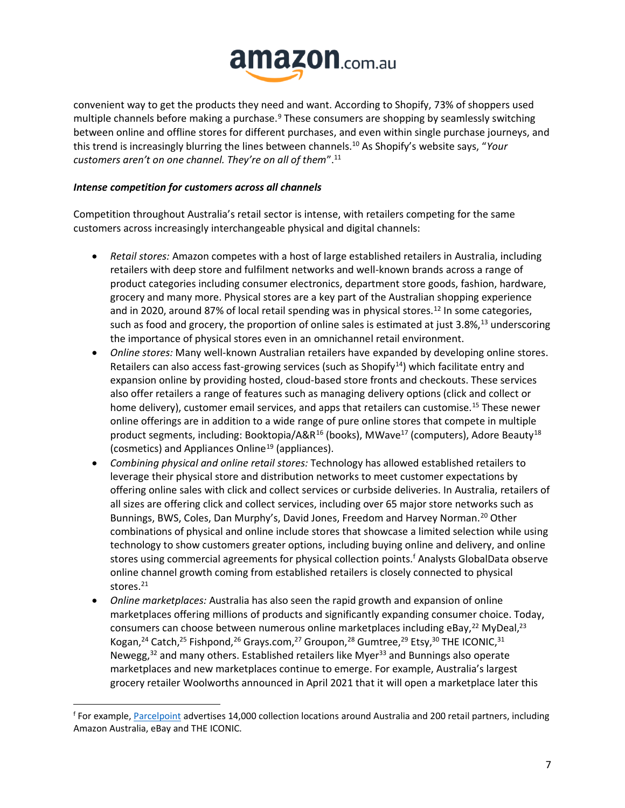![](_page_6_Picture_0.jpeg)

convenient way to get the products they need and want. According to Shopify, 73% of shoppers used multiple channels before making a purchase.<sup>9</sup> These consumers are shopping by seamlessly switching between online and offline stores for different purchases, and even within single purchase journeys, and this trend is increasingly blurring the lines between channels.<sup>10</sup> As Shopify's website says, "*Your customers aren't on one channel. They're on all of them*".<sup>11</sup>

# *Intense competition for customers across all channels*

Competition throughout Australia's retail sector is intense, with retailers competing for the same customers across increasingly interchangeable physical and digital channels:

- *Retail stores:* Amazon competes with a host of large established retailers in Australia, including retailers with deep store and fulfilment networks and well-known brands across a range of product categories including consumer electronics, department store goods, fashion, hardware, grocery and many more. Physical stores are a key part of the Australian shopping experience and in 2020, around 87% of local retail spending was in physical stores.<sup>12</sup> In some categories, such as food and grocery, the proportion of online sales is estimated at just 3.8%,<sup>13</sup> underscoring the importance of physical stores even in an omnichannel retail environment.
- *Online stores:* Many well-known Australian retailers have expanded by developing online stores. Retailers can also access fast-growing services (such as Shopify $14$ ) which facilitate entry and expansion online by providing hosted, cloud-based store fronts and checkouts. These services also offer retailers a range of features such as managing delivery options (click and collect or home delivery), customer email services, and apps that retailers can customise.<sup>15</sup> These newer online offerings are in addition to a wide range of pure online stores that compete in multiple product segments, including: Booktopia/A&R<sup>16</sup> (books), MWave<sup>17</sup> (computers), Adore Beauty<sup>18</sup> (cosmetics) and Appliances Online<sup>19</sup> (appliances).
- *Combining physical and online retail stores:* Technology has allowed established retailers to leverage their physical store and distribution networks to meet customer expectations by offering online sales with click and collect services or curbside deliveries. In Australia, retailers of all sizes are offering click and collect services, including over 65 major store networks such as Bunnings, BWS, Coles, Dan Murphy's, David Jones, Freedom and Harvey Norman.<sup>20</sup> Other combinations of physical and online include stores that showcase a limited selection while using technology to show customers greater options, including buying online and delivery, and online stores using commercial agreements for physical collection points. <sup>f</sup> Analysts GlobalData observe online channel growth coming from established retailers is closely connected to physical stores.<sup>21</sup>
- *Online marketplaces:* Australia has also seen the rapid growth and expansion of online marketplaces offering millions of products and significantly expanding consumer choice. Today, consumers can choose between numerous online marketplaces including eBay, $^{22}$  MyDeal, $^{23}$ Kogan,<sup>24</sup> Catch,<sup>25</sup> Fishpond,<sup>26</sup> Grays.com,<sup>27</sup> Groupon,<sup>28</sup> Gumtree,<sup>29</sup> Etsy,<sup>30</sup> THE ICONIC,<sup>31</sup> Newegg, $32$  and many others. Established retailers like Myer $33$  and Bunnings also operate marketplaces and new marketplaces continue to emerge. For example, Australia's largest grocery retailer Woolworths announced in April 2021 that it will open a marketplace later this

<sup>f</sup> For example, [Parcelpoint](https://parcelpoint.com.au/) advertises 14,000 collection locations around Australia and 200 retail partners, including Amazon Australia, eBay and THE ICONIC.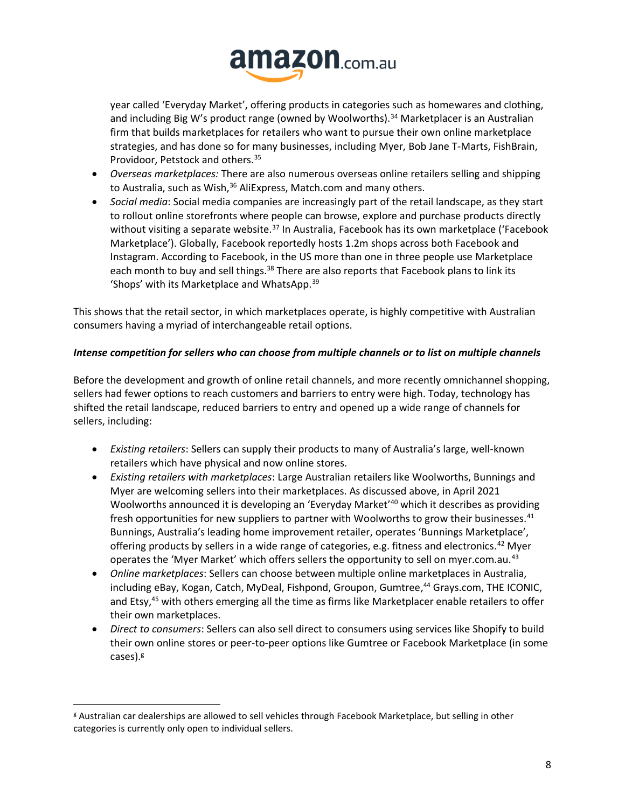![](_page_7_Picture_0.jpeg)

year called 'Everyday Market', offering products in categories such as homewares and clothing, and including Big W's product range (owned by Woolworths).<sup>34</sup> Marketplacer is an Australian firm that builds marketplaces for retailers who want to pursue their own online marketplace strategies, and has done so for many businesses, including Myer, Bob Jane T-Marts, FishBrain, Providoor, Petstock and others.<sup>35</sup>

- *Overseas marketplaces:* There are also numerous overseas online retailers selling and shipping to Australia, such as Wish,<sup>36</sup> AliExpress, Match.com and many others.
- *Social media*: Social media companies are increasingly part of the retail landscape, as they start to rollout online storefronts where people can browse, explore and purchase products directly without visiting a separate website. $37$  In Australia, Facebook has its own marketplace ('Facebook Marketplace'). Globally, Facebook reportedly hosts 1.2m shops across both Facebook and Instagram. According to Facebook, in the US more than one in three people use Marketplace each month to buy and sell things.<sup>38</sup> There are also reports that Facebook plans to link its 'Shops' with its Marketplace and WhatsApp.<sup>39</sup>

This shows that the retail sector, in which marketplaces operate, is highly competitive with Australian consumers having a myriad of interchangeable retail options.

# *Intense competition for sellers who can choose from multiple channels or to list on multiple channels*

Before the development and growth of online retail channels, and more recently omnichannel shopping, sellers had fewer options to reach customers and barriers to entry were high. Today, technology has shifted the retail landscape, reduced barriers to entry and opened up a wide range of channels for sellers, including:

- *Existing retailers*: Sellers can supply their products to many of Australia's large, well-known retailers which have physical and now online stores.
- *Existing retailers with marketplaces*: Large Australian retailers like Woolworths, Bunnings and Myer are welcoming sellers into their marketplaces. As discussed above, in April 2021 Woolworths announced it is developing an 'Everyday Market'<sup>40</sup> which it describes as providing fresh opportunities for new suppliers to partner with Woolworths to grow their businesses. $41$ Bunnings, Australia's leading home improvement retailer, operates 'Bunnings Marketplace', offering products by sellers in a wide range of categories, e.g. fitness and electronics.<sup>42</sup> Myer operates the 'Myer Market' which offers sellers the opportunity to sell on myer.com.au.<sup>43</sup>
- *Online marketplaces*: Sellers can choose between multiple online marketplaces in Australia, including eBay, Kogan, Catch, MyDeal, Fishpond, Groupon, Gumtree, <sup>44</sup> Grays.com, THE ICONIC, and Etsy, <sup>45</sup> with others emerging all the time as firms like Marketplacer enable retailers to offer their own marketplaces.
- *Direct to consumers*: Sellers can also sell direct to consumers using services like Shopify to build their own online stores or peer-to-peer options like Gumtree or Facebook Marketplace (in some cases).<sup>g</sup>

<sup>g</sup> Australian car dealerships are allowed to sell vehicles through Facebook Marketplace, but selling in other categories is currently only open to individual sellers.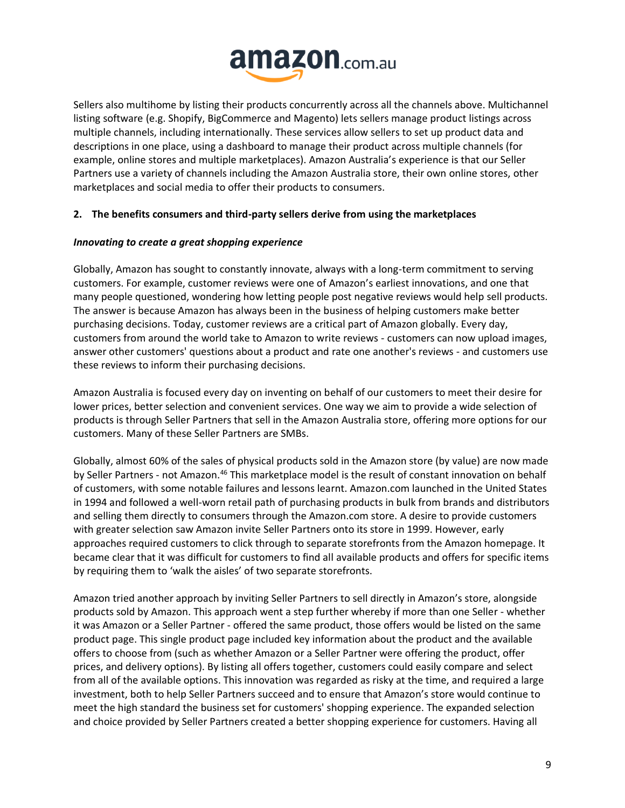![](_page_8_Picture_0.jpeg)

Sellers also multihome by listing their products concurrently across all the channels above. Multichannel listing software (e.g. Shopify, BigCommerce and Magento) lets sellers manage product listings across multiple channels, including internationally. These services allow sellers to set up product data and descriptions in one place, using a dashboard to manage their product across multiple channels (for example, online stores and multiple marketplaces). Amazon Australia's experience is that our Seller Partners use a variety of channels including the Amazon Australia store, their own online stores, other marketplaces and social media to offer their products to consumers.

# **2. The benefits consumers and third-party sellers derive from using the marketplaces**

# *Innovating to create a great shopping experience*

Globally, Amazon has sought to constantly innovate, always with a long-term commitment to serving customers. For example, customer reviews were one of Amazon's earliest innovations, and one that many people questioned, wondering how letting people post negative reviews would help sell products. The answer is because Amazon has always been in the business of helping customers make better purchasing decisions. Today, customer reviews are a critical part of Amazon globally. Every day, customers from around the world take to Amazon to write reviews - customers can now upload images, answer other customers' questions about a product and rate one another's reviews - and customers use these reviews to inform their purchasing decisions.

Amazon Australia is focused every day on inventing on behalf of our customers to meet their desire for lower prices, better selection and convenient services. One way we aim to provide a wide selection of products is through Seller Partners that sell in the Amazon Australia store, offering more options for our customers. Many of these Seller Partners are SMBs.

Globally, almost 60% of the sales of physical products sold in the Amazon store (by value) are now made by Seller Partners - not Amazon.<sup>46</sup> This marketplace model is the result of constant innovation on behalf of customers, with some notable failures and lessons learnt. Amazon.com launched in the United States in 1994 and followed a well-worn retail path of purchasing products in bulk from brands and distributors and selling them directly to consumers through the Amazon.com store. A desire to provide customers with greater selection saw Amazon invite Seller Partners onto its store in 1999. However, early approaches required customers to click through to separate storefronts from the Amazon homepage. It became clear that it was difficult for customers to find all available products and offers for specific items by requiring them to 'walk the aisles' of two separate storefronts.

Amazon tried another approach by inviting Seller Partners to sell directly in Amazon's store, alongside products sold by Amazon. This approach went a step further whereby if more than one Seller - whether it was Amazon or a Seller Partner - offered the same product, those offers would be listed on the same product page. This single product page included key information about the product and the available offers to choose from (such as whether Amazon or a Seller Partner were offering the product, offer prices, and delivery options). By listing all offers together, customers could easily compare and select from all of the available options. This innovation was regarded as risky at the time, and required a large investment, both to help Seller Partners succeed and to ensure that Amazon's store would continue to meet the high standard the business set for customers' shopping experience. The expanded selection and choice provided by Seller Partners created a better shopping experience for customers. Having all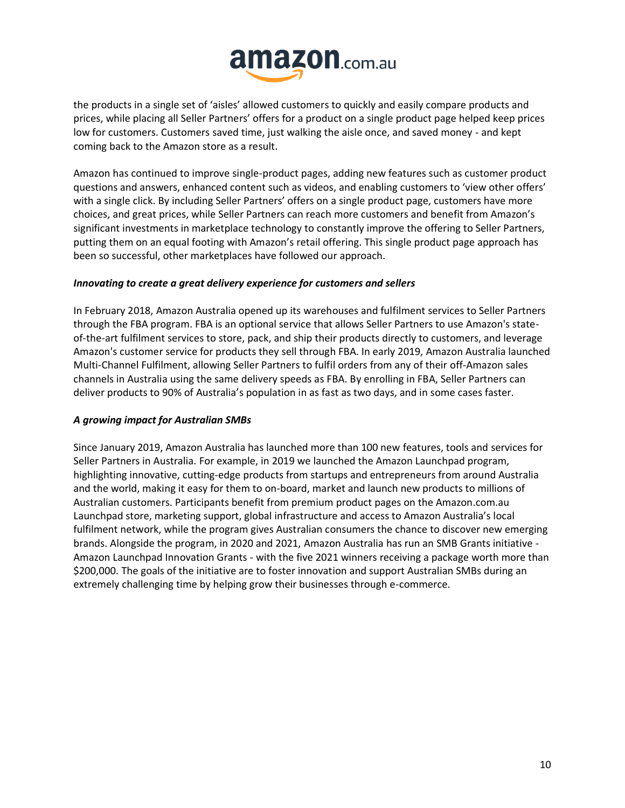![](_page_9_Picture_0.jpeg)

the products in a single set of 'aisles' allowed customers to quickly and easily compare products and prices, while placing all Seller Partners' offers for a product on a single product page helped keep prices low for customers. Customers saved time, just walking the aisle once, and saved money - and kept coming back to the Amazon store as a result.

Amazon has continued to improve single-product pages, adding new features such as customer product questions and answers, enhanced content such as videos, and enabling customers to 'view other offers' with a single click. By including Seller Partners' offers on a single product page, customers have more choices, and great prices, while Seller Partners can reach more customers and benefit from Amazon's significant investments in marketplace technology to constantly improve the offering to Seller Partners, putting them on an equal footing with Amazon's retail offering. This single product page approach has been so successful, other marketplaces have followed our approach.

# *Innovating to create a great delivery experience for customers and sellers*

In February 2018, Amazon Australia opened up its warehouses and fulfilment services to Seller Partners through the FBA program. FBA is an optional service that allows Seller Partners to use Amazon's stateof-the-art fulfilment services to store, pack, and ship their products directly to customers, and leverage Amazon's customer service for products they sell through FBA. In early 2019, Amazon Australia launched Multi-Channel Fulfilment, allowing Seller Partners to fulfil orders from any of their off-Amazon sales channels in Australia using the same delivery speeds as FBA. By enrolling in FBA, Seller Partners can deliver products to 90% of Australia's population in as fast as two days, and in some cases faster.

#### *A growing impact for Australian SMBs*

Since January 2019, Amazon Australia has launched more than 100 new features, tools and services for Seller Partners in Australia. For example, in 2019 we launched the Amazon Launchpad program, highlighting innovative, cutting-edge products from startups and entrepreneurs from around Australia and the world, making it easy for them to on-board, market and launch new products to millions of Australian customers. Participants benefit from premium product pages on the Amazon.com.au Launchpad store, marketing support, global infrastructure and access to Amazon Australia's local fulfilment network, while the program gives Australian consumers the chance to discover new emerging brands. Alongside the program, in 2020 and 2021, Amazon Australia has run an SMB Grants initiative - Amazon Launchpad Innovation Grants - with the five 2021 winners receiving a package worth more than \$200,000. The goals of the initiative are to foster innovation and support Australian SMBs during an extremely challenging time by helping grow their businesses through e-commerce.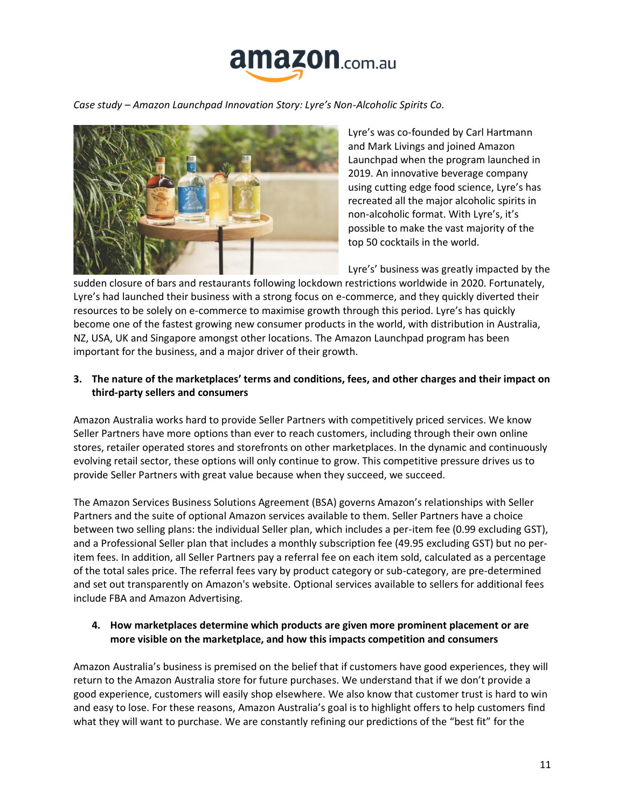![](_page_10_Picture_0.jpeg)

*Case study – Amazon Launchpad Innovation Story: Lyre's Non-Alcoholic Spirits Co.*

![](_page_10_Picture_2.jpeg)

Lyre's was co-founded by Carl Hartmann and Mark Livings and joined Amazon Launchpad when the program launched in 2019. An innovative beverage company using cutting edge food science, Lyre's has recreated all the major alcoholic spirits in non-alcoholic format. With Lyre's, it's possible to make the vast majority of the top 50 cocktails in the world.

Lyre's' business was greatly impacted by the

sudden closure of bars and restaurants following lockdown restrictions worldwide in 2020. Fortunately, Lyre's had launched their business with a strong focus on e-commerce, and they quickly diverted their resources to be solely on e-commerce to maximise growth through this period. Lyre's has quickly become one of the fastest growing new consumer products in the world, with distribution in Australia, NZ, USA, UK and Singapore amongst other locations. The Amazon Launchpad program has been important for the business, and a major driver of their growth.

# **3. The nature of the marketplaces' terms and conditions, fees, and other charges and their impact on third-party sellers and consumers**

Amazon Australia works hard to provide Seller Partners with competitively priced services. We know Seller Partners have more options than ever to reach customers, including through their own online stores, retailer operated stores and storefronts on other marketplaces. In the dynamic and continuously evolving retail sector, these options will only continue to grow. This competitive pressure drives us to provide Seller Partners with great value because when they succeed, we succeed.

The Amazon Services Business Solutions Agreement (BSA) governs Amazon's relationships with Seller Partners and the suite of optional Amazon services available to them. Seller Partners have a choice between two selling plans: the individual Seller plan, which includes a per-item fee (0.99 excluding GST), and a Professional Seller plan that includes a monthly subscription fee (49.95 excluding GST) but no peritem fees. In addition, all Seller Partners pay a referral fee on each item sold, calculated as a percentage of the total sales price. The referral fees vary by product category or sub-category, are pre-determined and set out transparently on Amazon's website. Optional services available to sellers for additional fees include FBA and Amazon Advertising.

# **4. How marketplaces determine which products are given more prominent placement or are more visible on the marketplace, and how this impacts competition and consumers**

Amazon Australia's business is premised on the belief that if customers have good experiences, they will return to the Amazon Australia store for future purchases. We understand that if we don't provide a good experience, customers will easily shop elsewhere. We also know that customer trust is hard to win and easy to lose. For these reasons, Amazon Australia's goal is to highlight offers to help customers find what they will want to purchase. We are constantly refining our predictions of the "best fit" for the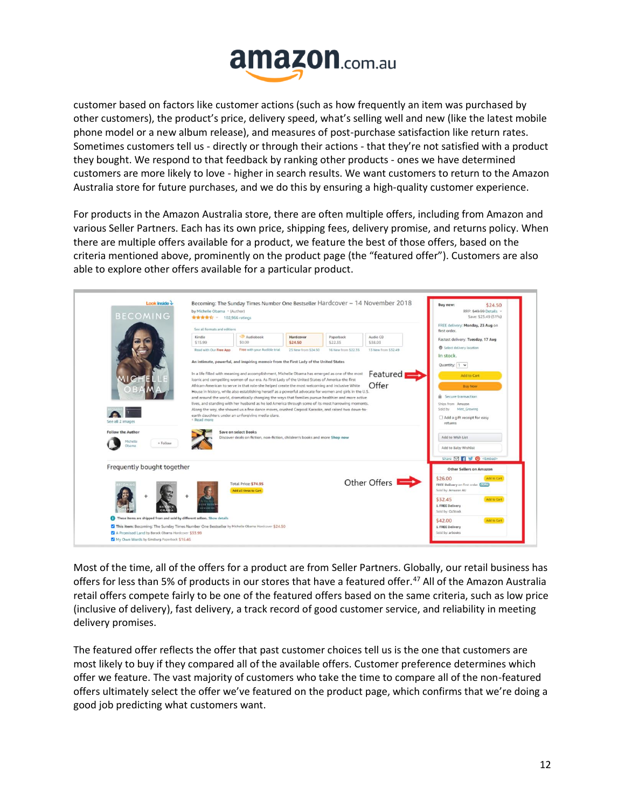![](_page_11_Picture_0.jpeg)

customer based on factors like customer actions (such as how frequently an item was purchased by other customers), the product's price, delivery speed, what's selling well and new (like the latest mobile phone model or a new album release), and measures of post-purchase satisfaction like return rates. Sometimes customers tell us - directly or through their actions - that they're not satisfied with a product they bought. We respond to that feedback by ranking other products - ones we have determined customers are more likely to love - higher in search results. We want customers to return to the Amazon Australia store for future purchases, and we do this by ensuring a high-quality customer experience.

For products in the Amazon Australia store, there are often multiple offers, including from Amazon and various Seller Partners. Each has its own price, shipping fees, delivery promise, and returns policy. When there are multiple offers available for a product, we feature the best of those offers, based on the criteria mentioned above, prominently on the product page (the "featured offer"). Customers are also able to explore other offers available for a particular product.

| <b>BECOMING</b>                                                                      | by Michelle Obama ~ (Author)<br><b>食食食食</b> × 102,966 ratings                                                                                                                                                                                                                                                                                                                                                                                                                                                                                                                                                                                                                                                                                           |                                               |                      |                      |                                        | RRP: \$49.99 Details ~<br>Save: \$25.49 (51%)<br>FREE delivery: Monday, 23 Aug on     |
|--------------------------------------------------------------------------------------|---------------------------------------------------------------------------------------------------------------------------------------------------------------------------------------------------------------------------------------------------------------------------------------------------------------------------------------------------------------------------------------------------------------------------------------------------------------------------------------------------------------------------------------------------------------------------------------------------------------------------------------------------------------------------------------------------------------------------------------------------------|-----------------------------------------------|----------------------|----------------------|----------------------------------------|---------------------------------------------------------------------------------------|
|                                                                                      | See all formats and editions                                                                                                                                                                                                                                                                                                                                                                                                                                                                                                                                                                                                                                                                                                                            |                                               |                      |                      |                                        | first order.                                                                          |
|                                                                                      | Kindle<br>\$15.99                                                                                                                                                                                                                                                                                                                                                                                                                                                                                                                                                                                                                                                                                                                                       | Audiobook<br>\$0.00                           | Hardcover<br>\$24.50 | Paperback<br>\$22.35 | Audio CD<br>\$38.03                    | Fastest delivery: Tuesday, 17 Aug                                                     |
|                                                                                      | Free with your Audible trial<br>25 New from \$24.50<br>16 New from \$22.35<br>13 New from \$32.49<br>Read with Our Free App<br>An intimate, powerful, and inspiring memoir from the First Lady of the United States                                                                                                                                                                                                                                                                                                                                                                                                                                                                                                                                     |                                               |                      |                      |                                        | Select delivery location<br>In stock.<br>Quantity: 1 v                                |
|                                                                                      | Featured<br>In a life filled with meaning and accomplishment, Michelle Obama has emerged as one of the most<br>iconic and compelling women of our era. As First Lady of the United States of America-the first<br>Offer<br>African-American to serve in that role-she helped create the most welcoming and inclusive White<br>House in history, while also establishing herself as a powerful advocate for women and girls in the U.S.<br>and around the world, dramatically changing the ways that families pursue healthier and more active<br>lives, and standing with her husband as he led America through some of its most harrowing moments.<br>Along the way, she showed us a few dance moves, crushed Carpool Karaoke, and raised two down-to- |                                               |                      |                      |                                        | <b>Add to Cart</b><br><b>Buy Now</b>                                                  |
|                                                                                      |                                                                                                                                                                                                                                                                                                                                                                                                                                                                                                                                                                                                                                                                                                                                                         |                                               |                      |                      |                                        | Secure transaction                                                                    |
|                                                                                      |                                                                                                                                                                                                                                                                                                                                                                                                                                                                                                                                                                                                                                                                                                                                                         |                                               |                      |                      |                                        | Ships from Amazon<br>Sold by<br>Mint, Growing                                         |
| earth daughters under an unforgiving media glare.<br>< Read more<br>See all 2 images |                                                                                                                                                                                                                                                                                                                                                                                                                                                                                                                                                                                                                                                                                                                                                         |                                               |                      |                      | Add a gift receipt for easy<br>returns |                                                                                       |
| <b>Follow the Author</b><br>Michelle<br>+ Follow<br>Obama                            | Save on select Books<br>Discover deals on fiction, non-fiction, children's books and more Shop now                                                                                                                                                                                                                                                                                                                                                                                                                                                                                                                                                                                                                                                      |                                               |                      |                      |                                        | Add to Wish List<br>Add to Baby Wishlist                                              |
|                                                                                      |                                                                                                                                                                                                                                                                                                                                                                                                                                                                                                                                                                                                                                                                                                                                                         |                                               |                      |                      |                                        | Share M 1 0 <embed/>                                                                  |
| Frequently bought together                                                           |                                                                                                                                                                                                                                                                                                                                                                                                                                                                                                                                                                                                                                                                                                                                                         |                                               |                      |                      |                                        | <b>Other Sellers on Amazon</b>                                                        |
|                                                                                      |                                                                                                                                                                                                                                                                                                                                                                                                                                                                                                                                                                                                                                                                                                                                                         | Total Price: \$74.95<br>Add all three to Cart |                      |                      | Other Offers                           | Add to Cart<br>\$26.00<br>FREE Delivery on first order. Details<br>Sold by: Amazon AU |
|                                                                                      | <b>GNSSYR</b>                                                                                                                                                                                                                                                                                                                                                                                                                                                                                                                                                                                                                                                                                                                                           |                                               |                      |                      |                                        | Add to Cart<br>\$32.45<br>& FREE Delivery<br>Sold by: OzStack                         |
| These items are shipped from and sold by different sellers. Show details             |                                                                                                                                                                                                                                                                                                                                                                                                                                                                                                                                                                                                                                                                                                                                                         |                                               |                      |                      |                                        | \$42.00<br>Add to Cart                                                                |
|                                                                                      |                                                                                                                                                                                                                                                                                                                                                                                                                                                                                                                                                                                                                                                                                                                                                         |                                               |                      |                      |                                        |                                                                                       |

Most of the time, all of the offers for a product are from Seller Partners. Globally, our retail business has offers for less than 5% of products in our stores that have a featured offer.<sup>47</sup> All of the Amazon Australia retail offers compete fairly to be one of the featured offers based on the same criteria, such as low price (inclusive of delivery), fast delivery, a track record of good customer service, and reliability in meeting delivery promises.

The featured offer reflects the offer that past customer choices tell us is the one that customers are most likely to buy if they compared all of the available offers. Customer preference determines which offer we feature. The vast majority of customers who take the time to compare all of the non-featured offers ultimately select the offer we've featured on the product page, which confirms that we're doing a good job predicting what customers want.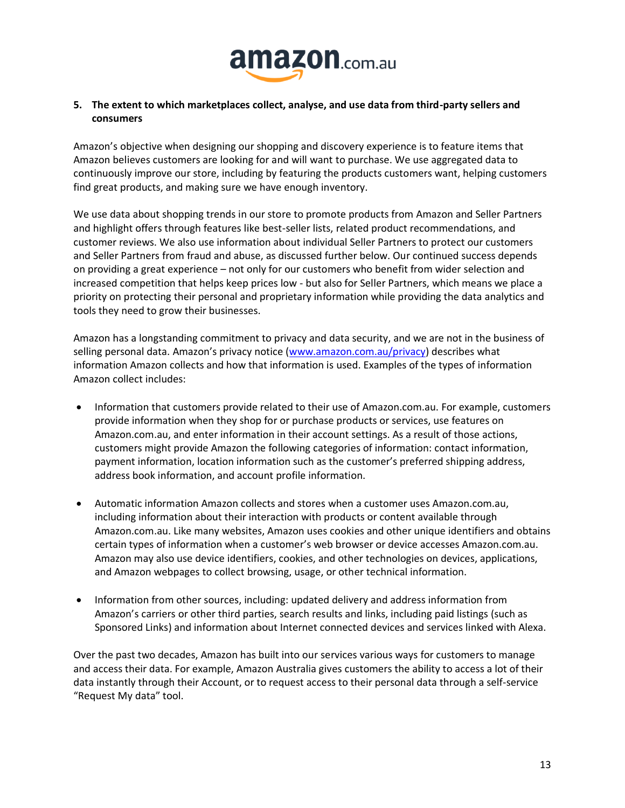![](_page_12_Picture_0.jpeg)

# **5. The extent to which marketplaces collect, analyse, and use data from third-party sellers and consumers**

Amazon's objective when designing our shopping and discovery experience is to feature items that Amazon believes customers are looking for and will want to purchase. We use aggregated data to continuously improve our store, including by featuring the products customers want, helping customers find great products, and making sure we have enough inventory.

We use data about shopping trends in our store to promote products from Amazon and Seller Partners and highlight offers through features like best-seller lists, related product recommendations, and customer reviews. We also use information about individual Seller Partners to protect our customers and Seller Partners from fraud and abuse, as discussed further below. Our continued success depends on providing a great experience – not only for our customers who benefit from wider selection and increased competition that helps keep prices low - but also for Seller Partners, which means we place a priority on protecting their personal and proprietary information while providing the data analytics and tools they need to grow their businesses.

Amazon has a longstanding commitment to privacy and data security, and we are not in the business of selling personal data. Amazon's privacy notice ([www.amazon.com.au/privacy\)](http://www.amazon.com.au/privacy) describes what information Amazon collects and how that information is used. Examples of the types of information Amazon collect includes:

- Information that customers provide related to their use of Amazon.com.au. For example, customers provide information when they shop for or purchase products or services, use features on Amazon.com.au, and enter information in their account settings. As a result of those actions, customers might provide Amazon the following categories of information: contact information, payment information, location information such as the customer's preferred shipping address, address book information, and account profile information.
- Automatic information Amazon collects and stores when a customer uses Amazon.com.au, including information about their interaction with products or content available through Amazon.com.au. Like many websites, Amazon uses cookies and other unique identifiers and obtains certain types of information when a customer's web browser or device accesses Amazon.com.au. Amazon may also use device identifiers, cookies, and other technologies on devices, applications, and Amazon webpages to collect browsing, usage, or other technical information.
- Information from other sources, including: updated delivery and address information from Amazon's carriers or other third parties, search results and links, including paid listings (such as Sponsored Links) and information about Internet connected devices and services linked with Alexa.

Over the past two decades, Amazon has built into our services various ways for customers to manage and access their data. For example, Amazon Australia gives customers the ability to access a lot of their data instantly through their Account, or to request access to their personal data through a self-service "Request My data" tool.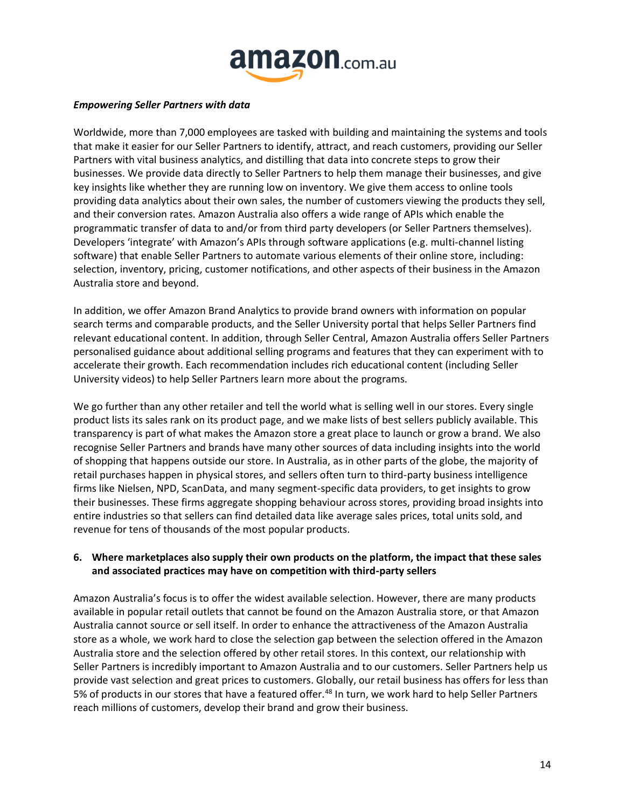![](_page_13_Picture_0.jpeg)

#### *Empowering Seller Partners with data*

Worldwide, more than 7,000 employees are tasked with building and maintaining the systems and tools that make it easier for our Seller Partners to identify, attract, and reach customers, providing our Seller Partners with vital business analytics, and distilling that data into concrete steps to grow their businesses. We provide data directly to Seller Partners to help them manage their businesses, and give key insights like whether they are running low on inventory. We give them access to online tools providing data analytics about their own sales, the number of customers viewing the products they sell, and their conversion rates. Amazon Australia also offers a wide range of APIs which enable the programmatic transfer of data to and/or from third party developers (or Seller Partners themselves). Developers 'integrate' with Amazon's APIs through software applications (e.g. multi-channel listing software) that enable Seller Partners to automate various elements of their online store, including: selection, inventory, pricing, customer notifications, and other aspects of their business in the Amazon Australia store and beyond.

In addition, we offer Amazon Brand Analytics to provide brand owners with information on popular search terms and comparable products, and the Seller University portal that helps Seller Partners find relevant educational content. In addition, through Seller Central, Amazon Australia offers Seller Partners personalised guidance about additional selling programs and features that they can experiment with to accelerate their growth. Each recommendation includes rich educational content (including Seller University videos) to help Seller Partners learn more about the programs.

We go further than any other retailer and tell the world what is selling well in our stores. Every single product lists its sales rank on its product page, and we make lists of best sellers publicly available. This transparency is part of what makes the Amazon store a great place to launch or grow a brand. We also recognise Seller Partners and brands have many other sources of data including insights into the world of shopping that happens outside our store. In Australia, as in other parts of the globe, the majority of retail purchases happen in physical stores, and sellers often turn to third-party business intelligence firms like Nielsen, NPD, ScanData, and many segment-specific data providers, to get insights to grow their businesses. These firms aggregate shopping behaviour across stores, providing broad insights into entire industries so that sellers can find detailed data like average sales prices, total units sold, and revenue for tens of thousands of the most popular products.

# **6. Where marketplaces also supply their own products on the platform, the impact that these sales and associated practices may have on competition with third-party sellers**

Amazon Australia's focus is to offer the widest available selection. However, there are many products available in popular retail outlets that cannot be found on the Amazon Australia store, or that Amazon Australia cannot source or sell itself. In order to enhance the attractiveness of the Amazon Australia store as a whole, we work hard to close the selection gap between the selection offered in the Amazon Australia store and the selection offered by other retail stores. In this context, our relationship with Seller Partners is incredibly important to Amazon Australia and to our customers. Seller Partners help us provide vast selection and great prices to customers. Globally, our retail business has offers for less than 5% of products in our stores that have a featured offer.<sup>48</sup> In turn, we work hard to help Seller Partners reach millions of customers, develop their brand and grow their business.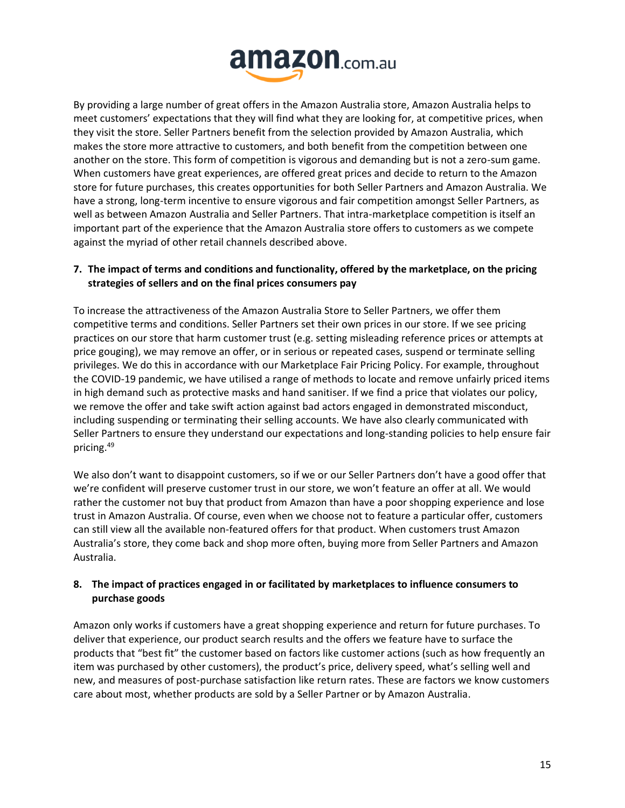![](_page_14_Picture_0.jpeg)

By providing a large number of great offers in the Amazon Australia store, Amazon Australia helps to meet customers' expectations that they will find what they are looking for, at competitive prices, when they visit the store. Seller Partners benefit from the selection provided by Amazon Australia, which makes the store more attractive to customers, and both benefit from the competition between one another on the store. This form of competition is vigorous and demanding but is not a zero-sum game. When customers have great experiences, are offered great prices and decide to return to the Amazon store for future purchases, this creates opportunities for both Seller Partners and Amazon Australia. We have a strong, long-term incentive to ensure vigorous and fair competition amongst Seller Partners, as well as between Amazon Australia and Seller Partners. That intra-marketplace competition is itself an important part of the experience that the Amazon Australia store offers to customers as we compete against the myriad of other retail channels described above.

# **7. The impact of terms and conditions and functionality, offered by the marketplace, on the pricing strategies of sellers and on the final prices consumers pay**

To increase the attractiveness of the Amazon Australia Store to Seller Partners, we offer them competitive terms and conditions. Seller Partners set their own prices in our store. If we see pricing practices on our store that harm customer trust (e.g. setting misleading reference prices or attempts at price gouging), we may remove an offer, or in serious or repeated cases, suspend or terminate selling privileges. We do this in accordance with our Marketplace Fair Pricing Policy. For example, throughout the COVID-19 pandemic, we have utilised a range of methods to locate and remove unfairly priced items in high demand such as protective masks and hand sanitiser. If we find a price that violates our policy, we remove the offer and take swift action against bad actors engaged in demonstrated misconduct, including suspending or terminating their selling accounts. We have also clearly communicated with Seller Partners to ensure they understand our expectations and long-standing policies to help ensure fair pricing.<sup>49</sup>

We also don't want to disappoint customers, so if we or our Seller Partners don't have a good offer that we're confident will preserve customer trust in our store, we won't feature an offer at all. We would rather the customer not buy that product from Amazon than have a poor shopping experience and lose trust in Amazon Australia. Of course, even when we choose not to feature a particular offer, customers can still view all the available non-featured offers for that product. When customers trust Amazon Australia's store, they come back and shop more often, buying more from Seller Partners and Amazon Australia.

# **8. The impact of practices engaged in or facilitated by marketplaces to influence consumers to purchase goods**

Amazon only works if customers have a great shopping experience and return for future purchases. To deliver that experience, our product search results and the offers we feature have to surface the products that "best fit" the customer based on factors like customer actions (such as how frequently an item was purchased by other customers), the product's price, delivery speed, what's selling well and new, and measures of post-purchase satisfaction like return rates. These are factors we know customers care about most, whether products are sold by a Seller Partner or by Amazon Australia.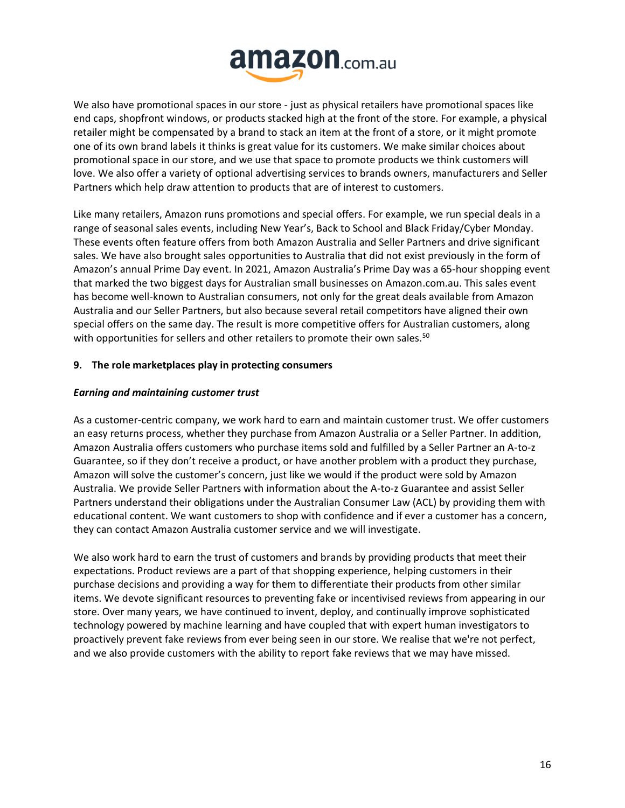![](_page_15_Picture_0.jpeg)

We also have promotional spaces in our store - just as physical retailers have promotional spaces like end caps, shopfront windows, or products stacked high at the front of the store. For example, a physical retailer might be compensated by a brand to stack an item at the front of a store, or it might promote one of its own brand labels it thinks is great value for its customers. We make similar choices about promotional space in our store, and we use that space to promote products we think customers will love. We also offer a variety of optional advertising services to brands owners, manufacturers and Seller Partners which help draw attention to products that are of interest to customers.

Like many retailers, Amazon runs promotions and special offers. For example, we run special deals in a range of seasonal sales events, including New Year's, Back to School and Black Friday/Cyber Monday. These events often feature offers from both Amazon Australia and Seller Partners and drive significant sales. We have also brought sales opportunities to Australia that did not exist previously in the form of Amazon's annual Prime Day event. In 2021, Amazon Australia's Prime Day was a 65-hour shopping event that marked the two biggest days for Australian small businesses on Amazon.com.au. This sales event has become well-known to Australian consumers, not only for the great deals available from Amazon Australia and our Seller Partners, but also because several retail competitors have aligned their own special offers on the same day. The result is more competitive offers for Australian customers, along with opportunities for sellers and other retailers to promote their own sales.<sup>50</sup>

# **9. The role marketplaces play in protecting consumers**

# *Earning and maintaining customer trust*

As a customer-centric company, we work hard to earn and maintain customer trust. We offer customers an easy returns process, whether they purchase from Amazon Australia or a Seller Partner. In addition, Amazon Australia offers customers who purchase items sold and fulfilled by a Seller Partner an A-to-z Guarantee, so if they don't receive a product, or have another problem with a product they purchase, Amazon will solve the customer's concern, just like we would if the product were sold by Amazon Australia. We provide Seller Partners with information about the A-to-z Guarantee and assist Seller Partners understand their obligations under the Australian Consumer Law (ACL) by providing them with educational content. We want customers to shop with confidence and if ever a customer has a concern, they can contact Amazon Australia customer service and we will investigate.

We also work hard to earn the trust of customers and brands by providing products that meet their expectations. Product reviews are a part of that shopping experience, helping customers in their purchase decisions and providing a way for them to differentiate their products from other similar items. We devote significant resources to preventing fake or incentivised reviews from appearing in our store. Over many years, we have continued to invent, deploy, and continually improve sophisticated technology powered by machine learning and have coupled that with expert human investigators to proactively prevent fake reviews from ever being seen in our store. We realise that we're not perfect, and we also provide customers with the ability to report fake reviews that we may have missed.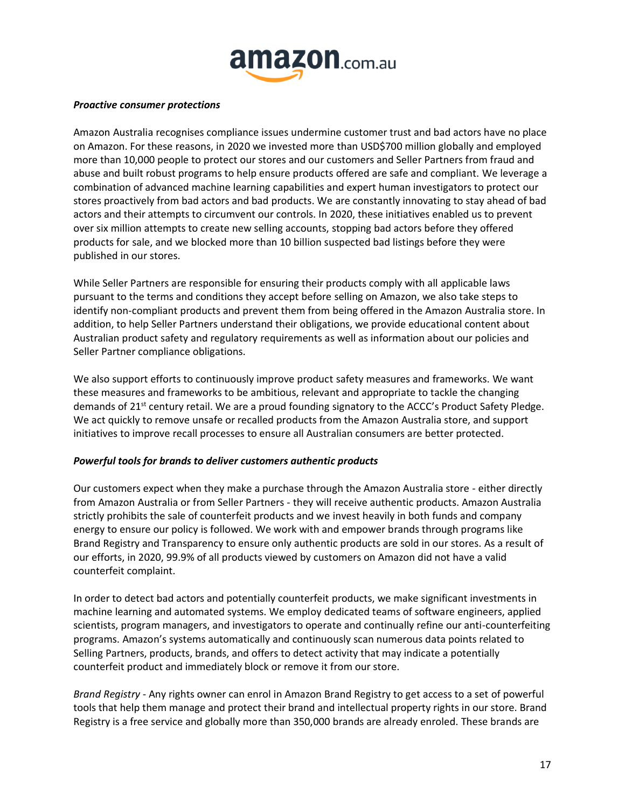![](_page_16_Picture_0.jpeg)

#### *Proactive consumer protections*

Amazon Australia recognises compliance issues undermine customer trust and bad actors have no place on Amazon. For these reasons, in 2020 we invested more than USD\$700 million globally and employed more than 10,000 people to protect our stores and our customers and Seller Partners from fraud and abuse and built robust programs to help ensure products offered are safe and compliant. We leverage a combination of advanced machine learning capabilities and expert human investigators to protect our stores proactively from bad actors and bad products. We are constantly innovating to stay ahead of bad actors and their attempts to circumvent our controls. In 2020, these initiatives enabled us to prevent over six million attempts to create new selling accounts, stopping bad actors before they offered products for sale, and we blocked more than 10 billion suspected bad listings before they were published in our stores.

While Seller Partners are responsible for ensuring their products comply with all applicable laws pursuant to the terms and conditions they accept before selling on Amazon, we also take steps to identify non-compliant products and prevent them from being offered in the Amazon Australia store. In addition, to help Seller Partners understand their obligations, we provide educational content about Australian product safety and regulatory requirements as well as information about our policies and Seller Partner compliance obligations.

We also support efforts to continuously improve product safety measures and frameworks. We want these measures and frameworks to be ambitious, relevant and appropriate to tackle the changing demands of 21<sup>st</sup> century retail. We are a proud founding signatory to the ACCC's Product Safety Pledge. We act quickly to remove unsafe or recalled products from the Amazon Australia store, and support initiatives to improve recall processes to ensure all Australian consumers are better protected.

# *Powerful tools for brands to deliver customers authentic products*

Our customers expect when they make a purchase through the Amazon Australia store - either directly from Amazon Australia or from Seller Partners - they will receive authentic products. Amazon Australia strictly prohibits the sale of counterfeit products and we invest heavily in both funds and company energy to ensure our policy is followed. We work with and empower brands through programs like Brand Registry and Transparency to ensure only authentic products are sold in our stores. As a result of our efforts, in 2020, 99.9% of all products viewed by customers on Amazon did not have a valid counterfeit complaint.

In order to detect bad actors and potentially counterfeit products, we make significant investments in machine learning and automated systems. We employ dedicated teams of software engineers, applied scientists, program managers, and investigators to operate and continually refine our anti-counterfeiting programs. Amazon's systems automatically and continuously scan numerous data points related to Selling Partners, products, brands, and offers to detect activity that may indicate a potentially counterfeit product and immediately block or remove it from our store.

*Brand Registry -* Any rights owner can enrol in Amazon Brand Registry to get access to a set of powerful tools that help them manage and protect their brand and intellectual property rights in our store. Brand Registry is a free service and globally more than 350,000 brands are already enroled. These brands are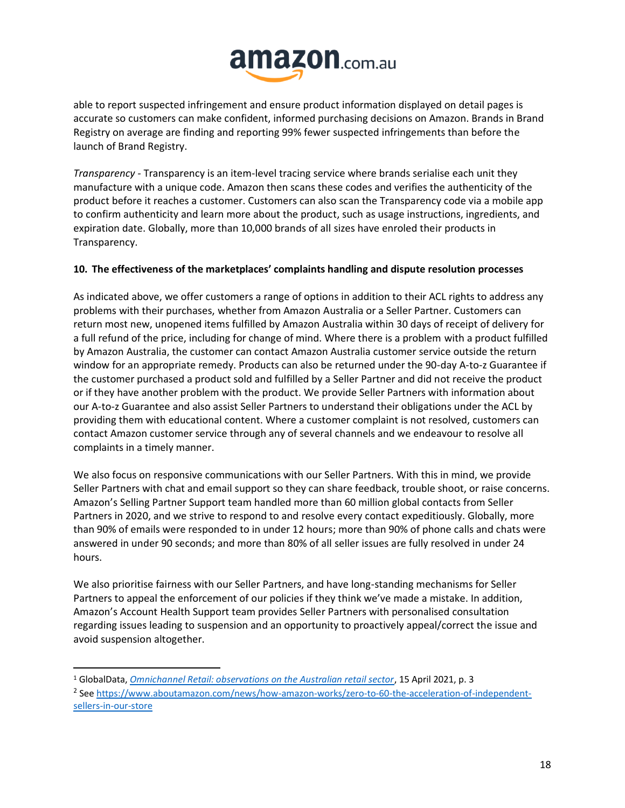![](_page_17_Picture_0.jpeg)

able to report suspected infringement and ensure product information displayed on detail pages is accurate so customers can make confident, informed purchasing decisions on Amazon. Brands in Brand Registry on average are finding and reporting 99% fewer suspected infringements than before the launch of Brand Registry.

*Transparency -* Transparency is an item-level tracing service where brands serialise each unit they manufacture with a unique code. Amazon then scans these codes and verifies the authenticity of the product before it reaches a customer. Customers can also scan the Transparency code via a mobile app to confirm authenticity and learn more about the product, such as usage instructions, ingredients, and expiration date. Globally, more than 10,000 brands of all sizes have enroled their products in Transparency.

# **10. The effectiveness of the marketplaces' complaints handling and dispute resolution processes**

As indicated above, we offer customers a range of options in addition to their ACL rights to address any problems with their purchases, whether from Amazon Australia or a Seller Partner. Customers can return most new, unopened items fulfilled by Amazon Australia within 30 days of receipt of delivery for a full refund of the price, including for change of mind. Where there is a problem with a product fulfilled by Amazon Australia, the customer can contact Amazon Australia customer service outside the return window for an appropriate remedy. Products can also be returned under the 90-day A-to-z Guarantee if the customer purchased a product sold and fulfilled by a Seller Partner and did not receive the product or if they have another problem with the product. We provide Seller Partners with information about our A-to-z Guarantee and also assist Seller Partners to understand their obligations under the ACL by providing them with educational content. Where a customer complaint is not resolved, customers can contact Amazon customer service through any of several channels and we endeavour to resolve all complaints in a timely manner.

We also focus on responsive communications with our Seller Partners. With this in mind, we provide Seller Partners with chat and email support so they can share feedback, trouble shoot, or raise concerns. Amazon's Selling Partner Support team handled more than 60 million global contacts from Seller Partners in 2020, and we strive to respond to and resolve every contact expeditiously. Globally, more than 90% of emails were responded to in under 12 hours; more than 90% of phone calls and chats were answered in under 90 seconds; and more than 80% of all seller issues are fully resolved in under 24 hours.

We also prioritise fairness with our Seller Partners, and have long-standing mechanisms for Seller Partners to appeal the enforcement of our policies if they think we've made a mistake. In addition, Amazon's Account Health Support team provides Seller Partners with personalised consultation regarding issues leading to suspension and an opportunity to proactively appeal/correct the issue and avoid suspension altogether.

<sup>1</sup> GlobalData, *[Omnichannel Retail: observations on the Australian retail sector](http://gdretail.net/wp-content/uploads/2021/08/GlobalData-Australia-retail-Apr2021-1.0.pdf)*, 15 April 2021, p. 3

<sup>&</sup>lt;sup>2</sup> Se[e https://www.aboutamazon.com/news/how-amazon-works/zero-to-60-the-acceleration-of-independent](https://www.aboutamazon.com/news/how-amazon-works/zero-to-60-the-acceleration-of-independent-sellers-in-our-store)[sellers-in-our-store](https://www.aboutamazon.com/news/how-amazon-works/zero-to-60-the-acceleration-of-independent-sellers-in-our-store)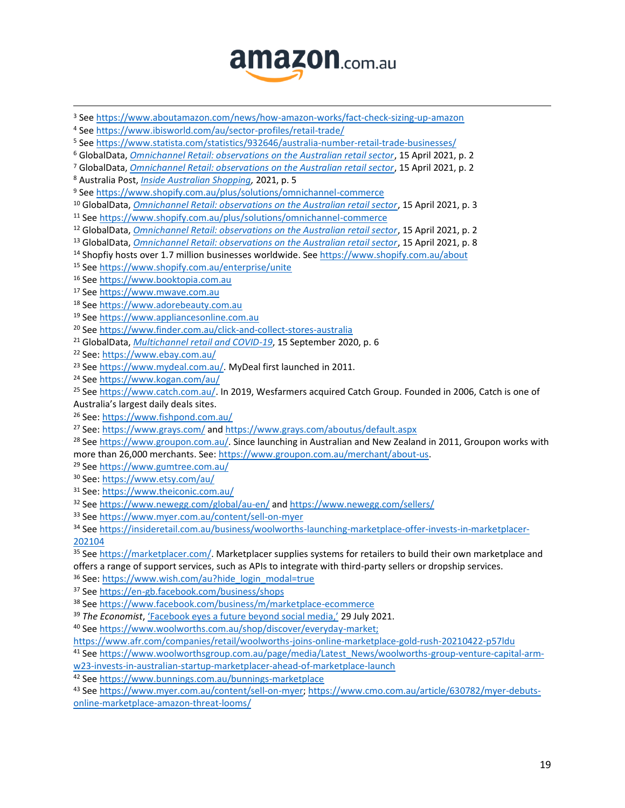![](_page_18_Picture_0.jpeg)

 See<https://www.aboutamazon.com/news/how-amazon-works/fact-check-sizing-up-amazon> See<https://www.ibisworld.com/au/sector-profiles/retail-trade/> See<https://www.statista.com/statistics/932646/australia-number-retail-trade-businesses/> GlobalData, *[Omnichannel Retail: observations on the Australian retail sector](http://gdretail.net/wp-content/uploads/2021/08/GlobalData-Australia-retail-Apr2021-1.0.pdf)*, 15 April 2021, p. 2 GlobalData, *[Omnichannel Retail: observations on the Australian retail sector](http://gdretail.net/wp-content/uploads/2021/08/GlobalData-Australia-retail-Apr2021-1.0.pdf)*, 15 April 2021, p. 2 Australia Post, *[Inside Australian Shopping,](https://auspost.com.au/content/dam/auspost_corp/media/documents/ecommerce-industry-report-2021.pdf)* 2021, p. 5 See<https://www.shopify.com.au/plus/solutions/omnichannel-commerce> GlobalData, *[Omnichannel Retail: observations on the Australian retail sector](http://gdretail.net/wp-content/uploads/2021/08/GlobalData-Australia-retail-Apr2021-1.0.pdf)*, 15 April 2021, p. 3 Se[e https://www.shopify.com.au/plus/solutions/omnichannel-commerce](https://www.shopify.com.au/plus/solutions/omnichannel-commerce) GlobalData, *[Omnichannel Retail: observations on the Australian retail sector](http://gdretail.net/wp-content/uploads/2021/08/GlobalData-Australia-retail-Apr2021-1.0.pdf)*, 15 April 2021, p. 2 GlobalData, *[Omnichannel Retail: observations on the Australian retail sector](http://gdretail.net/wp-content/uploads/2021/08/GlobalData-Australia-retail-Apr2021-1.0.pdf)*, 15 April 2021, p. 8 Shopfiy hosts over 1.7 million businesses worldwide. Se[e https://www.shopify.com.au/about](https://www.shopify.com.au/about) Se[e https://www.shopify.com.au/enterprise/unite](https://www.shopify.com.au/enterprise/unite) Se[e https://www.booktopia.com.au](https://www.booktopia.com.au/) Se[e https://www.mwave.com.au](https://www.mwave.com.au/) Se[e https://www.adorebeauty.com.au](https://www.adorebeauty.com.au/) Se[e https://www.appliancesonline.com.au](https://www.appliancesonline.com.au/) Se[e https://www.finder.com.au/click-and-collect-stores-australia](https://www.finder.com.au/click-and-collect-stores-australia) GlobalData, *[Multichannel retail and COVID-19](http://gdretail.net/wp-content/uploads/2020/09/GlobalData-multichannel-retail-September152020-.pdf)*, 15 September 2020, p. 6 See:<https://www.ebay.com.au/> <sup>23</sup> Se[e https://www.mydeal.com.au/.](https://www.mydeal.com.au/) MyDeal first launched in 2011. Se[e https://www.kogan.com/au/](https://www.kogan.com/au/) Se[e https://www.catch.com.au/.](https://www.catch.com.au/) In 2019, Wesfarmers acquired Catch Group. Founded in 2006, Catch is one of Australia's largest daily deals sites. See:<https://www.fishpond.com.au/> See: <https://www.grays.com/> and<https://www.grays.com/aboutus/default.aspx> <sup>28</sup> Se[e https://www.groupon.com.au/.](https://www.groupon.com.au/) Since launching in Australian and New Zealand in 2011, Groupon works with more than 26,000 merchants. See: [https://www.groupon.com.au/merchant/about-us.](https://www.groupon.com.au/merchant/about-us) Se[e https://www.gumtree.com.au/](https://www.gumtree.com.au/) See:<https://www.etsy.com/au/> See: <https://www.theiconic.com.au/> Se[e https://www.newegg.com/global/au-en/](https://www.newegg.com/global/au-en/) and<https://www.newegg.com/sellers/> Se[e https://www.myer.com.au/content/sell-on-myer](https://www.myer.com.au/content/sell-on-myer) Se[e https://insideretail.com.au/business/woolworths-launching-marketplace-offer-invests-in-marketplacer-](https://insideretail.com.au/business/woolworths-launching-marketplace-offer-invests-in-marketplacer-202104) 35 Se[e https://marketplacer.com/.](https://marketplacer.com/) Marketplacer supplies systems for retailers to build their own marketplace and offers a range of support services, such as APIs to integrate with third-party sellers or dropship services. See: [https://www.wish.com/au?hide\\_login\\_modal=true](https://www.wish.com/au?hide_login_modal=true) Se[e https://en-gb.facebook.com/business/shops](https://en-gb.facebook.com/business/shops) Se[e https://www.facebook.com/business/m/marketplace-ecommerce](https://www.facebook.com/business/m/marketplace-ecommerce) *The Economist*, ['Facebook eyes a future beyond social media](https://www.economist.com/business/2021/07/29/facebook-eyes-a-future-beyond-social-media),' 29 July 2021. Se[e https://www.woolworths.com.au/shop/discover/everyday-market;](https://www.woolworths.com.au/shop/discover/everyday-market) <https://www.afr.com/companies/retail/woolworths-joins-online-marketplace-gold-rush-20210422-p57ldu> Se[e https://www.woolworthsgroup.com.au/page/media/Latest\\_News/woolworths-group-venture-capital-arm](https://www.woolworthsgroup.com.au/page/media/Latest_News/woolworths-group-venture-capital-arm-w23-invests-in-australian-startup-marketplacer-ahead-of-marketplace-launch)[w23-invests-in-australian-startup-marketplacer-ahead-of-marketplace-launch](https://www.woolworthsgroup.com.au/page/media/Latest_News/woolworths-group-venture-capital-arm-w23-invests-in-australian-startup-marketplacer-ahead-of-marketplace-launch) Se[e https://www.bunnings.com.au/bunnings-marketplace](https://www.bunnings.com.au/bunnings-marketplace)

 Se[e https://www.myer.com.au/content/sell-on-myer;](https://www.myer.com.au/content/sell-on-myer) [https://www.cmo.com.au/article/630782/myer-debuts](https://www.cmo.com.au/article/630782/myer-debuts-online-marketplace-amazon-threat-looms/)[online-marketplace-amazon-threat-looms/](https://www.cmo.com.au/article/630782/myer-debuts-online-marketplace-amazon-threat-looms/)